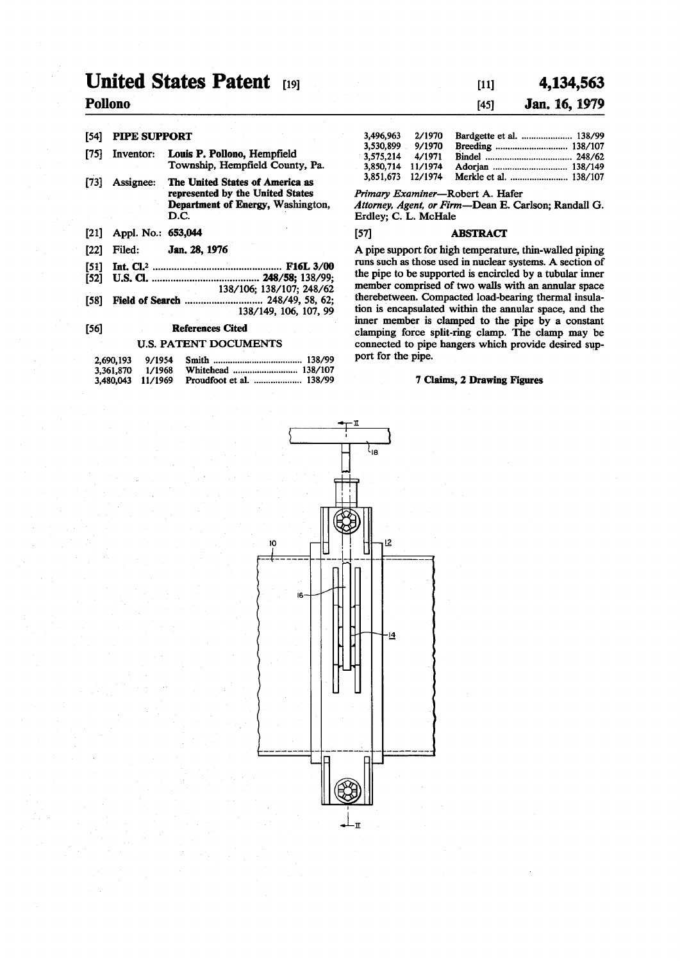# **United States Patent [19]**

# **Pollono**

### [54] PIPE SUPPORT

- [75] Inventor: Louis P. Pollono, Hempfield Township, Hempfield County, Pa.
- [73] Assignee: The United States of America as represented by the United States Department of Energy, Washington, D.C.
- [21] Appl. No.: 653,044
- [22] Filed: Jan. 28,1976
- [51] Int. C1.2 F16L 3/00
- **[52] U.S. a 248/58; 138/99;**
- 138/106; 138/107; 248/62 [58] Field of Search 248/49, 58, 62; 138/149, 106, 107, 99

#### [56] References Cited

#### U.S. PATENT DOCUMENTS

| 2,690,193         | 9/1954 |  |
|-------------------|--------|--|
| 3.361.870         | 1/1968 |  |
| 3,480,043 11/1969 |        |  |

# **[ii] 4,134,56 3**  [45] **Jan. 16, 1979**

| 3.496.963 | 2/1970  |  |
|-----------|---------|--|
| 3.530.899 | 9/1970  |  |
| 3.575.214 | 4/1971  |  |
| 3.850.714 | 11/1974 |  |
| 3.851.673 | 12/1974 |  |

*Primary Examiner*—Robert A. Hafer

*Attorney, Agent, or Firm—'*Dean E. Carlson; Randall G. Erdley; C. L. McHale

#### [57] ABSTRACT

A pipe support for high temperature, thin-walled piping runs such as those used in nuclear systems. A section of the pipe to be supported is encircled by a tubular inner member comprised of two walls with an annular space therebetween. Compacted load-bearing thermal insulation is encapsulated within the annular space, and the inner member is clamped to the pipe by a constant clamping force split-ring clamp. The clamp may be connected to pipe hangers which provide desired support for the pipe.

#### **7** Claims, **2** Drawing Figures

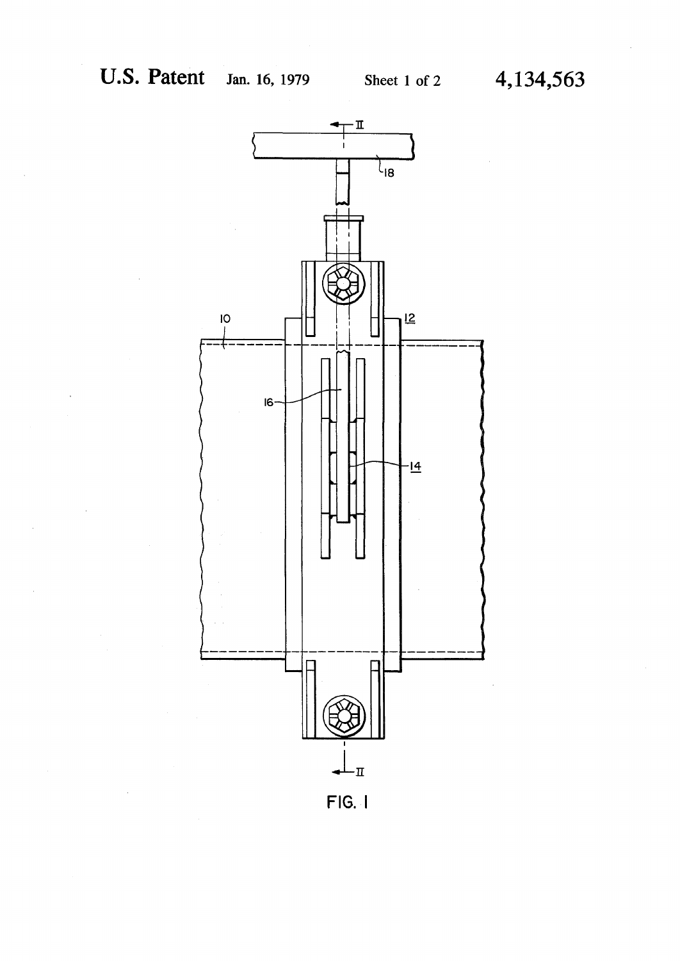

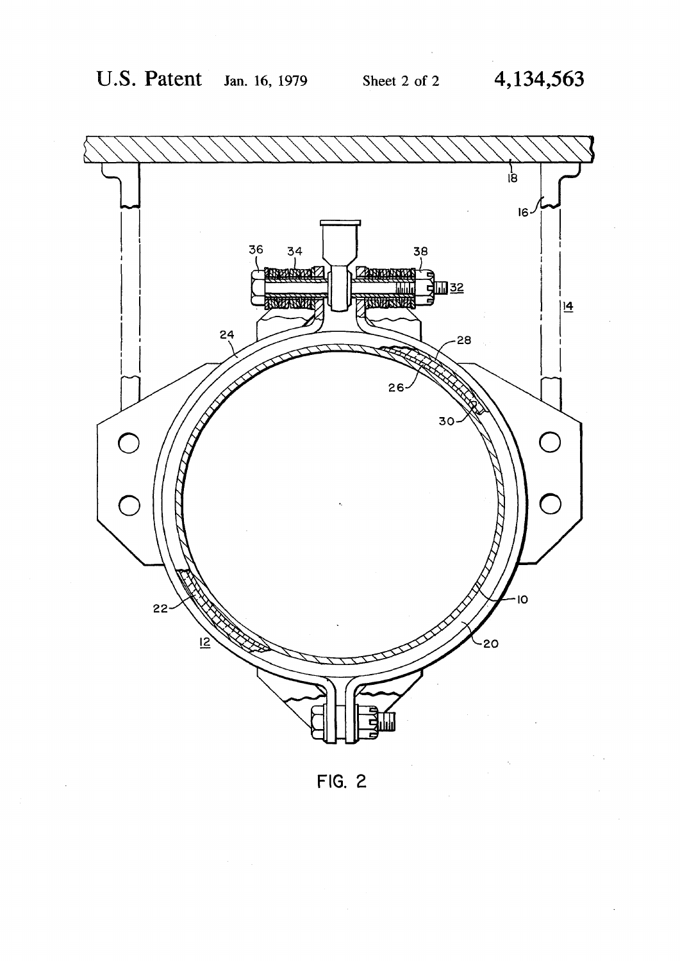

**FIG. 2**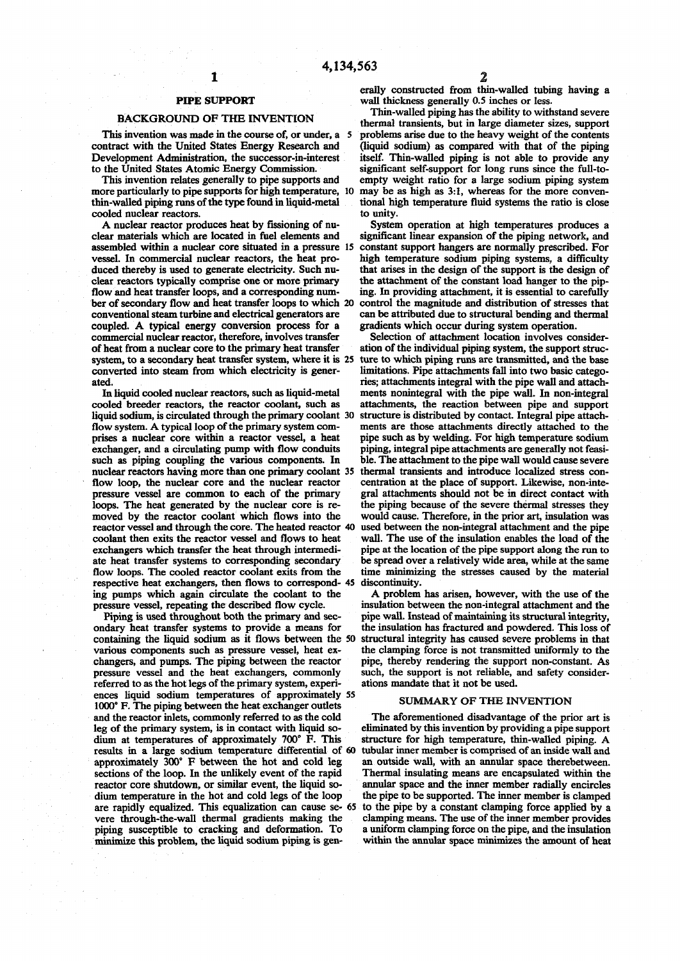## **PIPE SUPPORT**

1

#### BACKGROUND OF THE INVENTION

This invention was made in the course of, or under, a 5 contract with the United States Energy Research and Development Administration, the successor-in-interest to the United States Atomic Energy Commission.

This invention relates generally to pipe supports and more particularly to pipe supports for high temperature, 10 thin-walled piping runs of the type found in liquid-metal cooled nuclear reactors.

A nuclear reactor produces heat by fissioning of nuclear materials which are located in fuel elements and assembled within a nuclear core situated in a pressure 15 vessel. In commercial nuclear reactors, the heat produced thereby is used to generate electricity. Such nuclear reactors typically comprise one or more primary flow and heat transfer loops, and a corresponding number of secondary flow and heat transfer loops to which 20 conventional steam turbine and electrical generators are coupled. A typical energy conversion process for a commercial nuclear reactor, therefore, involves transfer of heat from a nuclear core to the primary heat transfer system, to a secondary heat transfer system, where it is 25 converted into steam from which electricity is generated.

In liquid cooled nuclear reactors, such as liquid-metal cooled breeder reactors, the reactor coolant, such as liquid sodium, is circulated through the primary coolant 30 flow system. A typical loop of the primary system comprises a nuclear core within a reactor vessel, a heat exchanger, and a circulating pump with flow conduits such as piping coupling the various components. In nuclear reactors having more than one primary coolant 35 flow loop, the nuclear core and the nuclear reactor pressure vessel are common to each of the primary loops. The heat generated by the nuclear core is removed by the reactor coolant which flows into the reactor vessel and through the core. The heated reactor 40 coolant then exits the reactor vessel and flows to heat exchangers which transfer the heat through intermediate heat transfer systems to corresponding secondary flow loops. The cooled reactor coolant exits from the now loops. The cooled reactor coolant exits from the time minimized respective heat exchangers, then flows to correspond- 45 discontinuity. ing pumps which again circulate the coolant to the pressure vessel, repeating the described flow cycle.

Piping is used throughout both the primary and secondary heat transfer systems to provide a means for containing the liquid sodium as it flows between the 50 various components such as pressure vessel, heat exchangers, and pumps. The piping between the reactor pressure vessel and the heat exchangers, commonly referred to as the hot legs of the primary system, experiences liquid sodium temperatures of approximately 55 1000° F. The piping between the heat exchanger outlets and the reactor inlets, commonly referred to as the cold leg of the primary system, is in contact with liquid sodium at temperatures of approximately 700° F. This results in a large sodium temperature differential of 60 approximately 300° F between the hot and cold leg sections of the loop. In the unlikely event of the rapid reactor core shutdown, or similar event, the liquid sodium temperature in the hot and cold legs of the loop are rapidly equalized. This equalization can cause se- 65 vere through-the-wall thermal gradients making the piping susceptible to cracking and deformation. To minimize this problem, the liquid sodium piping is gen-

erally constructed from thin-walled tubing having a wall thickness generally 0.5 inches or less.

Thin-walled piping has the ability to withstand severe thermal transients, but in large diameter sizes, support problems arise due to the heavy weight of the contents (liquid sodium) as compared with that of the piping itself. Thin-walled piping is not able to provide any significant self-support for long runs since the full-toempty weight ratio for a large sodium piping system may be as high as 3:1, whereas for the more conventional high temperature fluid systems the ratio is close to unity.

System operation at high temperatures produces a significant linear expansion of the piping network, and constant support hangers are normally prescribed. For high temperature sodium piping systems, a difficulty that arises in the design of the support is the design of the attachment of the constant load hanger to the piping. In providing attachment, it is essential to carefully control the magnitude and distribution of stresses that can be attributed due to structural bending and thermal gradients which occur during system operation.

Selection of attachment location involves consideration of the individual piping system, the support structure to which piping runs are transmitted, and the base limitations. Pipe attachments fall into two basic categories; attachments integral with the pipe wall and attachments nonintegral with the pipe wall. In non-integral attachments, the reaction between pipe and support structure is distributed by contact. Integral pipe attachments are those attachments directly attached to the pipe such as by welding. For high temperature sodium piping, integral pipe attachments are generally not feasible. The attachment to the pipe wall would cause severe thermal transients and introduce localized stress concentration at the place of support. Likewise, non-integral attachments should not be in direct contact with the piping because of the severe thermal stresses they would cause. Therefore, in the prior art, insulation was used between the non-integral attachment and the pipe wall. The use of the insulation enables the load of the pipe at the location of the pipe support along the run to be spread over a relatively wide area, while at the same time minimizing the stresses caused by the material

A problem has arisen, however, with the use of the insulation between the non-integral attachment and the pipe wall. Instead of maintaining its structural integrity, the insulation has fractured and powdered. This loss of structural integrity has caused severe problems in that the clamping force is not transmitted uniformly to the pipe, thereby rendering the support non-constant. As such, the support is not reliable, and safety considerations mandate that it not be used.

#### SUMMARY OF THE INVENTION

The aforementioned disadvantage of the prior art is eliminated by this invention by providing a pipe support structure for high temperature, thin-walled piping. A tubular inner member is comprised of an inside wall and an outside wall, with an annular space therebetween. Thermal insulating means are encapsulated within the annular space and the inner member radially encircles the pipe to be supported. The inner member is clamped to the pipe by a constant clamping force applied by a clamping means. The use of the inner member provides a uniform clamping force on the pipe, and the insulation within the annular space minimizes the amount of heat